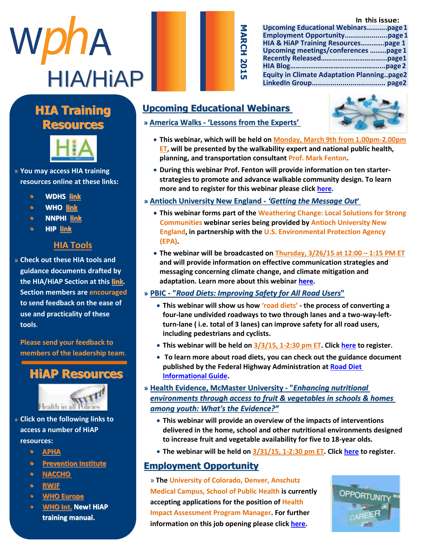#### **In this issue:**

| WphA            |
|-----------------|
| <b>HIA/HIAP</b> |

| <b>Upcoming Educational Webinarspage1</b>         |
|---------------------------------------------------|
|                                                   |
| HIA & HiAP Training Resourcespage 1               |
| Upcoming meetings/conferences page 1              |
|                                                   |
|                                                   |
| <b>Equity in Climate Adaptation Planningpage2</b> |
|                                                   |

#### **Manuel Highlight Highlight Company HIA Training Resources**



» You may access HIA training **resources online at these links:** 

- H I A s e c t i o n l e a d e r s h i p **• WDHS [link](http://www.dhs.wisconsin.gov/hia/webcast.htm)**  $\frac{1}{2}$  we reflect the r  $\frac{1}{2}$
- c o m m u n i [c a t i o](http://www.who.int/hia/tools/en/) n s o f f i c e r **• WHO link**
- **• NNPHI** <u>link</u>
- **• HIP link**

#### r e s p o n s i b l e f o r **p**  $\overline{\text{HIA Tools}}$

» Check out these HIA tools and **EXPERT CALCERT CONTROLLER**<br>guidance documents drafted by  $i$  i denote documents draits o p p o r t u n i t i e s b o t h i n **the HIA/HiAP Section at this [link.](https://drive.google.com/folderview?id=0BwvodkY98zM_ZlZQdlZuUk9FQWs&usp=sharing) Section members are encouraged** to send feedback on the ease of **use and practicality of these** b u z a n e w s l e t e w s l e t e v s e v s e w s e w s e w s e w s e w s e w s e w s e w s e w s e w s e w<br>De la t e v s e w s e w s e w s e w s e w s e w s e w s e w s e w s e w s e w s e w s e w s e w s e w s e w s  $\mathcal{L}$  and  $\mathcal{L}$  are a subset of  $\mathcal{L}$  and  $\mathcal{L}$  of  $\mathcal{L}$  s of  $\mathcal{L}$ **tools**.

**Please send your feedback to** ,<br>A s s i s s i tha laadarchi C h r o n i c D i s e a s e **members of the leadership team**.





- t a k e h e r t o t h e » Click on the following links to **an in the following** access a number of HiAP **and a resources:** w a r d s a r d s a r
	- M a s [t e r s i](http://apha.org/topics-and-issues/healthy-communities/health-in-all-policies) n U r b a n a n d **• APHA**
	- R e Dravantion Institute **•** <u>Prevention Institute</u><br> **•** PLACCUO
	- h e r g r e a t c o n t r i b u t i o n **• [NACCHO](http://www.naccho.org/advocacy/positions/upload/12-01-health-in-all-policies.pdf)**
	- t o t <mark>RWJF</mark> e la e a d
	- $\bullet$  **WHO Europe**
	- b e s [t o f l u c k](http://www.who.int/life-course/news/health-in-all-policies/en/) i n h e r **WHO Int. New! HiAP training manual.** e n d e a v o d u c k i n d u c k i n d u c k i n d u c k i n d u c k i n d u c k i n d u c k i n d u c k i n

## **Upcoming Educational Webinars**

**» America Walks - 'Lessons from the Experts'**



- **This webinar, which will be held on Monday, March 9th from 1.00pm-2.00pm ET, will be presented by the walkability expert and national public health, planning, and transportation consultant Prof. Mark Fenton.**
- **During this webinar Prof. Fenton will provide information on ten starterstrategies to promote and advance walkable community design. To learn more and to register for this webinar please click [here.](http://americawalks.org/lessons-from-the-experts-webinar/)**
- **» Antioch University New England -** *'Getting the Message Out***'**

MARCH

- **This webinar forms part of the Weathering Change: Local Solutions for Strong Communities webinar series being provided by Antioch University New England, in partnership with the U.S. Environmental Protection Agency (EPA).**
- The webinar will be broadcasted on Thursday, 3/26/15 at 12:00 1:15 PM ET **and will provide information on effective communication strategies and messaging concerning climate change, and climate mitigation and adaptation. Learn more about this webinar [here.](http://www.communityresilience-center.org/projects/weathering-change-webinar-series/)**

#### **» PBIC - "***Road Diets: Improving Safety for All Road Users***"**

- **This webinar will show us how 'road diets' - the process of converting a four-lane undivided roadways to two through lanes and a two-way-leftturn-lane ( i.e. total of 3 lanes) can improve safety for all road users, including pedestrians and cyclists.**
- **This webinar will be held on 3/3/15, 1-2:30 pm ET. Clic[k here](http://www.pedbikeinfo.org/training/webinars_FHWA_030315.cfm) to register.**
- **To learn more about road diets, you can check out the guidance document published by the Federal Highway Administration a[t Road Diet](http://safety.fhwa.dot.gov/road_diets/info_guide/rdig.pdf)  [Informational Guide.](http://safety.fhwa.dot.gov/road_diets/info_guide/rdig.pdf)**
- **» Health Evidence, McMaster University - "***Enhancing nutritional environments through access to fruit & vegetables in schools & homes among youth: What's the Evidence?"*
	- **This webinar will provide an overview of the impacts of interventions delivered in the home, school and other nutritional environments designed to increase fruit and vegetable availability for five to 18-year olds.**
	- **The webinar will be held on 3/31/15, 1-2:30 pm ET. Clic[k here](https://health-evidence.webex.com/mw0401lsp12/mywebex/default.do?nomenu=true&siteurl=health-evidence&service=6&rnd=0.45916376932674663&main_url=https%3A%2F%2Fhealth-evidence.webex.com%2Fec0701lsp12%2Feventcenter%2Fevent%2FeventAction.do%3FtheAction%3Ddetai) to register.**

#### **Employment Opportunity**

» **The University of Colorado, Denver, Anschutz Medical Campus, School of Public Health is currently accepting applications for the position of Health Impact Assessment Program Manager. For further information on this job opening please click [here.](http://universityofcolorado.jobs/aurora-co/health-impact-assessment-program-manager/5F8AF18D25904FBA88E9EA8BC8EBCCF8/job/?sl&utm_campaign=2015-02-04%20HIP&utm_medium=email&utm_source=Eloqua)**